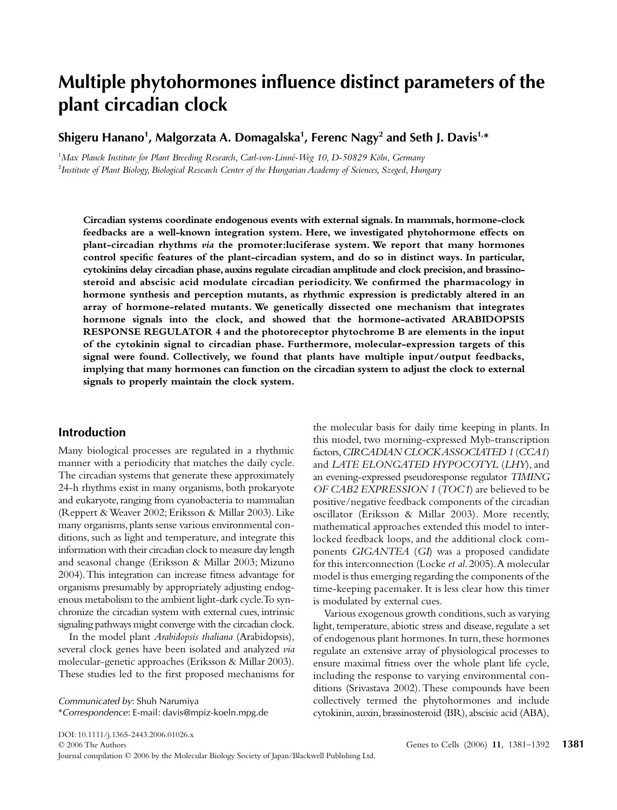# Multiple phytohormones influence distinct parameters of the **plant circadian clock**

**Shigeru Hanano1 , Malgorzata A. Domagalska1 , Ferenc Nagy2 and Seth J. Davis1,\***

<sup>1</sup>Max Planck Institute for Plant Breeding Research, Carl-von-Linné-Weg 10, D-50829 Köln, Germany 2 *Institute of Plant Biology, Biological Research Center of the Hungarian Academy of Sciences, Szeged, Hungary* 

**Circadian systems coordinate endogenous events with external signals. In mammals, hormone-clock feedbacks are a well-known integration system. Here, we investigated phytohormone effects on plant-circadian rhythms** *via* **the promoter:luciferase system. We report that many hormones control specific features of the plant-circadian system, and do so in distinct ways. In particular, cytokinins delay circadian phase, auxins regulate circadian amplitude and clock precision, and brassinosteroid and abscisic acid modulate circadian periodicity. We confirmed the pharmacology in hormone synthesis and perception mutants, as rhythmic expression is predictably altered in an array of hormone-related mutants. We genetically dissected one mechanism that integrates hormone signals into the clock, and showed that the hormone-activated ARABIDOPSIS RESPONSE REGULATOR 4 and the photoreceptor phytochrome B are elements in the input of the cytokinin signal to circadian phase. Furthermore, molecular-expression targets of this signal were found. Collectively, we found that plants have multiple input/output feedbacks, implying that many hormones can function on the circadian system to adjust the clock to external signals to properly maintain the clock system.**

## **Introduction**

Many biological processes are regulated in a rhythmic manner with a periodicity that matches the daily cycle. The circadian systems that generate these approximately 24-h rhythms exist in many organisms, both prokaryote and eukaryote, ranging from cyanobacteria to mammalian (Reppert & Weaver 2002; Eriksson & Millar 2003). Like many organisms, plants sense various environmental conditions, such as light and temperature, and integrate this information with their circadian clock to measure day length and seasonal change (Eriksson & Millar 2003; Mizuno 2004). This integration can increase fitness advantage for organisms presumably by appropriately adjusting endogenous metabolism to the ambient light-dark cycle. To synchronize the circadian system with external cues, intrinsic signaling pathways might converge with the circadian clock.

In the model plant *Arabidopsis thaliana* (Arabidopsis), several clock genes have been isolated and analyzed *via* molecular-genetic approaches (Eriksson & Millar 2003). These studies led to the first proposed mechanisms for

*Communicated by*: Shuh Narumiya \**Correspondence*: E-mail: davis@mpiz-koeln.mpg.de the molecular basis for daily time keeping in plants. In this model, two morning-expressed Myb-transcription factors, *CIRCADIAN CLOCK ASSOCIATED 1* (*CCA1*) and *LATE ELONGATED HYPOCOTYL* (*LHY*), and an evening-expressed pseudoresponse regulator *TIMING OF CAB2 EXPRESSION 1* (*TOC1*) are believed to be positive/negative feedback components of the circadian oscillator (Eriksson & Millar 2003). More recently, mathematical approaches extended this model to interlocked feedback loops, and the additional clock components *GIGANTEA* (*GI*) was a proposed candidate for this interconnection (Locke *et al*. 2005). A molecular model is thus emerging regarding the components of the time-keeping pacemaker. It is less clear how this timer is modulated by external cues.

Various exogenous growth conditions, such as varying light, temperature, abiotic stress and disease, regulate a set of endogenous plant hormones. In turn, these hormones regulate an extensive array of physiological processes to ensure maximal fitness over the whole plant life cycle, including the response to varying environmental conditions (Srivastava 2002). These compounds have been collectively termed the phytohormones and include cytokinin, auxin, brassinosteroid (BR), abscisic acid (ABA),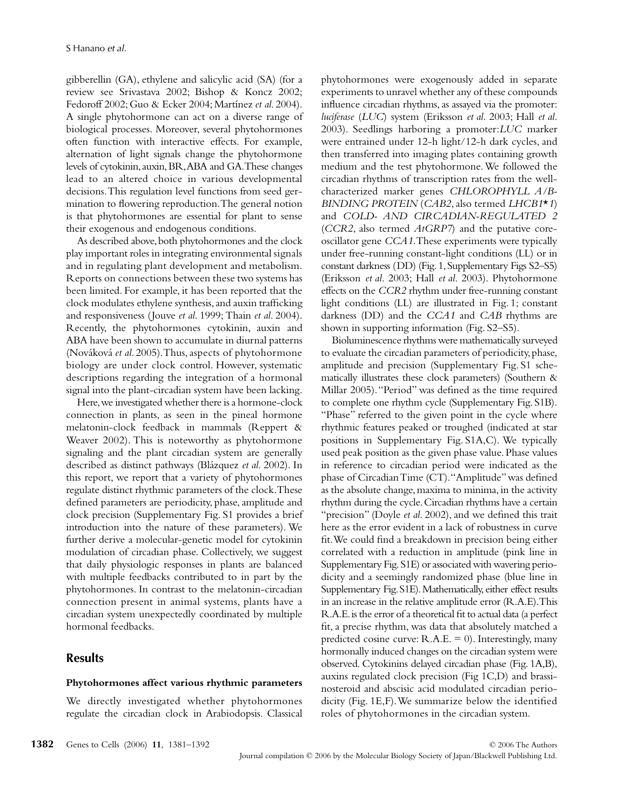gibberellin (GA), ethylene and salicylic acid (SA) (for a review see Srivastava 2002; Bishop & Koncz 2002; Fedoroff 2002; Guo & Ecker 2004; Martínez *et al*. 2004). A single phytohormone can act on a diverse range of biological processes. Moreover, several phytohormones often function with interactive effects. For example, alternation of light signals change the phytohormone levels of cytokinin, auxin, BR, ABA and GA. These changes lead to an altered choice in various developmental decisions. This regulation level functions from seed germination to flowering reproduction. The general notion is that phytohormones are essential for plant to sense their exogenous and endogenous conditions.

As described above, both phytohormones and the clock play important roles in integrating environmental signals and in regulating plant development and metabolism. Reports on connections between these two systems has been limited. For example, it has been reported that the clock modulates ethylene synthesis, and auxin trafficking and responsiveness (Jouve *et al*. 1999; Thain *et al*. 2004). Recently, the phytohormones cytokinin, auxin and ABA have been shown to accumulate in diurnal patterns (Nováková *et al*. 2005). Thus, aspects of phytohormone biology are under clock control. However, systematic descriptions regarding the integration of a hormonal signal into the plant-circadian system have been lacking.

Here, we investigated whether there is a hormone-clock connection in plants, as seen in the pineal hormone melatonin-clock feedback in mammals (Reppert & Weaver 2002). This is noteworthy as phytohormone signaling and the plant circadian system are generally described as distinct pathways (Blázquez *et al*. 2002). In this report, we report that a variety of phytohormones regulate distinct rhythmic parameters of the clock. These defined parameters are periodicity, phase, amplitude and clock precision (Supplementary Fig. S1 provides a brief introduction into the nature of these parameters). We further derive a molecular-genetic model for cytokinin modulation of circadian phase. Collectively, we suggest that daily physiologic responses in plants are balanced with multiple feedbacks contributed to in part by the phytohormones. In contrast to the melatonin-circadian connection present in animal systems, plants have a circadian system unexpectedly coordinated by multiple hormonal feedbacks.

## **Results**

#### **Phytohormones affect various rhythmic parameters**

We directly investigated whether phytohormones regulate the circadian clock in Arabiodopsis. Classical phytohormones were exogenously added in separate experiments to unravel whether any of these compounds influence circadian rhythms, as assayed via the promoter: *luciferase* (*LUC*) system (Eriksson *et al*. 2003; Hall *et al*. 2003). Seedlings harboring a promoter:*LUC* marker were entrained under 12-h light/12-h dark cycles, and then transferred into imaging plates containing growth medium and the test phytohormone. We followed the circadian rhythms of transcription rates from the wellcharacterized marker genes *CHLOROPHYLL A/B-BINDING PROTEIN* (*CAB2*, also termed *LHCB1*\**1*) and *COLD- AND CIRCADIAN-REGULATED 2* (*CCR2*, also termed *AtGRP7*) and the putative coreoscillator gene *CCA1*. These experiments were typically under free-running constant-light conditions (LL) or in constant darkness (DD) (Fig. 1, Supplementary Figs S2–S5) (Eriksson *et al*. 2003; Hall *et al*. 2003). Phytohormone effects on the *CCR2* rhythm under free-running constant light conditions (LL) are illustrated in Fig. 1; constant darkness (DD) and the *CCA1* and *CAB* rhythms are shown in supporting information (Fig. S2–S5).

Bioluminescence rhythms were mathematically surveyed to evaluate the circadian parameters of periodicity, phase, amplitude and precision (Supplementary Fig. S1 schematically illustrates these clock parameters) (Southern & Millar 2005). "Period" was defined as the time required to complete one rhythm cycle (Supplementary Fig. S1B). "Phase" referred to the given point in the cycle where rhythmic features peaked or troughed (indicated at star positions in Supplementary Fig. S1A,C). We typically used peak position as the given phase value. Phase values in reference to circadian period were indicated as the phase of Circadian Time (CT). "Amplitude" was defined as the absolute change, maxima to minima, in the activity rhythm during the cycle. Circadian rhythms have a certain "precision" (Doyle *et al*. 2002), and we defined this trait here as the error evident in a lack of robustness in curve fit. We could find a breakdown in precision being either correlated with a reduction in amplitude (pink line in Supplementary Fig. S1E) or associated with wavering periodicity and a seemingly randomized phase (blue line in Supplementary Fig. S1E). Mathematically, either effect results in an increase in the relative amplitude error (R.A.E). This R.A.E. is the error of a theoretical fit to actual data (a perfect fit, a precise rhythm, was data that absolutely matched a predicted cosine curve:  $R.A.E. = 0$ ). Interestingly, many hormonally induced changes on the circadian system were observed. Cytokinins delayed circadian phase (Fig. 1A,B), auxins regulated clock precision (Fig 1C,D) and brassinosteroid and abscisic acid modulated circadian periodicity (Fig. 1E,F). We summarize below the identified roles of phytohormones in the circadian system.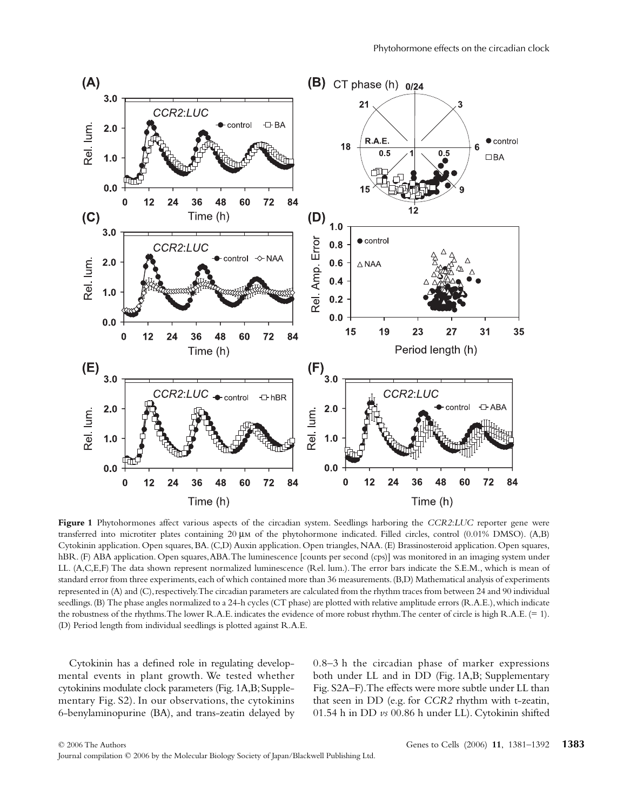

**Figure 1** Phytohormones affect various aspects of the circadian system. Seedlings harboring the *CCR2*:*LUC* reporter gene were transferred into microtiter plates containing 20 µm of the phytohormone indicated. Filled circles, control (0.01% DMSO). (A,B) Cytokinin application. Open squares, BA. (C,D) Auxin application. Open triangles, NAA. (E) Brassinosteroid application. Open squares, hBR. (F) ABA application. Open squares, ABA. The luminescence [counts per second (cps)] was monitored in an imaging system under LL. (A,C,E,F) The data shown represent normalized luminescence (Rel. lum.). The error bars indicate the S.E.M., which is mean of standard error from three experiments, each of which contained more than 36 measurements. (B,D) Mathematical analysis of experiments represented in (A) and (C), respectively. The circadian parameters are calculated from the rhythm traces from between 24 and 90 individual seedlings. (B) The phase angles normalized to a 24-h cycles (CT phase) are plotted with relative amplitude errors (R.A.E.), which indicate the robustness of the rhythms. The lower R.A.E. indicates the evidence of more robust rhythm. The center of circle is high R.A.E. (= 1). (D) Period length from individual seedlings is plotted against R.A.E.

Cytokinin has a defined role in regulating developmental events in plant growth. We tested whether cytokinins modulate clock parameters (Fig. 1A,B; Supplementary Fig. S2). In our observations, the cytokinins 6-benylaminopurine (BA), and trans-zeatin delayed by 0.8–3 h the circadian phase of marker expressions both under LL and in DD (Fig. 1A,B; Supplementary Fig. S2A–F). The effects were more subtle under LL than that seen in DD (e.g. for *CCR2* rhythm with t-zeatin, 01.54 h in DD *vs* 00.86 h under LL). Cytokinin shifted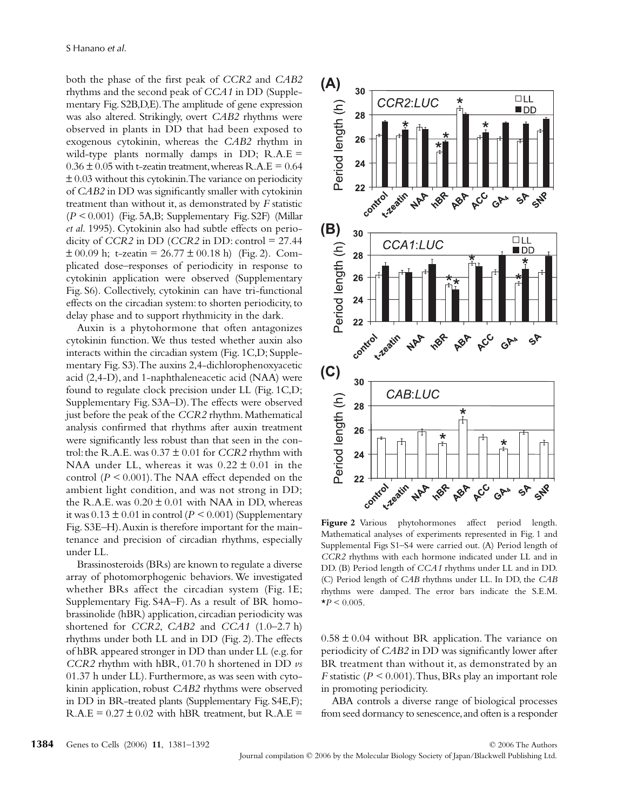both the phase of the first peak of *CCR2* and *CAB2* rhythms and the second peak of *CCA1* in DD (Supplementary Fig. S2B,D,E). The amplitude of gene expression was also altered. Strikingly, overt *CAB2* rhythms were observed in plants in DD that had been exposed to exogenous cytokinin, whereas the *CAB2* rhythm in wild-type plants normally damps in DD;  $R.A.E =$  $0.36 \pm 0.05$  with t-zeatin treatment, whereas R.A.E = 0.64  $\pm 0.03$  without this cytokinin. The variance on periodicity of *CAB2* in DD was significantly smaller with cytokinin treatment than without it, as demonstrated by *F* statistic (*P <* 0.001) (Fig. 5A,B; Supplementary Fig. S2F) (Millar *et al*. 1995). Cytokinin also had subtle effects on periodicity of *CCR2* in DD (*CCR2* in DD: control =  $27.44$  $\pm 00.09$  h; t-zeatin = 26.77  $\pm 00.18$  h) (Fig. 2). Complicated dose–responses of periodicity in response to cytokinin application were observed (Supplementary Fig. S6). Collectively, cytokinin can have tri-functional effects on the circadian system: to shorten periodicity, to delay phase and to support rhythmicity in the dark.

Auxin is a phytohormone that often antagonizes cytokinin function. We thus tested whether auxin also interacts within the circadian system (Fig. 1C,D; Supplementary Fig. S3). The auxins 2,4-dichlorophenoxyacetic acid (2,4-D), and 1-naphthaleneacetic acid (NAA) were found to regulate clock precision under LL (Fig. 1C,D; Supplementary Fig. S3A–D). The effects were observed just before the peak of the *CCR2* rhythm. Mathematical analysis confirmed that rhythms after auxin treatment were significantly less robust than that seen in the control: the R.A.E. was  $0.37 \pm 0.01$  for *CCR2* rhythm with NAA under LL, whereas it was  $0.22 \pm 0.01$  in the control (*P <* 0.001). The NAA effect depended on the ambient light condition, and was not strong in DD; the R.A.E. was  $0.20 \pm 0.01$  with NAA in DD, whereas it was  $0.13 \pm 0.01$  in control ( $P \le 0.001$ ) (Supplementary Fig. S3E–H). Auxin is therefore important for the maintenance and precision of circadian rhythms, especially under LL.

Brassinosteroids (BRs) are known to regulate a diverse array of photomorphogenic behaviors. We investigated whether BRs affect the circadian system (Fig. 1E; Supplementary Fig. S4A–F). As a result of BR homobrassinolide (hBR) application, circadian periodicity was shortened for *CCR2*, *CAB2* and *CCA1* (1.0–2.7 h) rhythms under both LL and in DD (Fig. 2). The effects of hBR appeared stronger in DD than under LL (e.g. for *CCR2* rhythm with hBR, 01.70 h shortened in DD *vs* 01.37 h under LL). Furthermore, as was seen with cytokinin application, robust *CAB2* rhythms were observed in DD in BR-treated plants (Supplementary Fig. S4E,F);  $R.A.E = 0.27 \pm 0.02$  with hBR treatment, but  $R.A.E =$ 



**Figure 2** Various phytohormones affect period length. Mathematical analyses of experiments represented in Fig. 1 and Supplemental Figs S1–S4 were carried out. (A) Period length of *CCR2* rhythms with each hormone indicated under LL and in DD. (B) Period length of *CCA1* rhythms under LL and in DD. (C) Period length of *CAB* rhythms under LL. In DD, the *CAB* rhythms were damped. The error bars indicate the S.E.M.  $*P < 0.005$ .

 $0.58 \pm 0.04$  without BR application. The variance on periodicity of *CAB2* in DD was significantly lower after BR treatment than without it, as demonstrated by an *F* statistic (*P <* 0.001). Thus, BRs play an important role in promoting periodicity.

ABA controls a diverse range of biological processes from seed dormancy to senescence, and often is a responder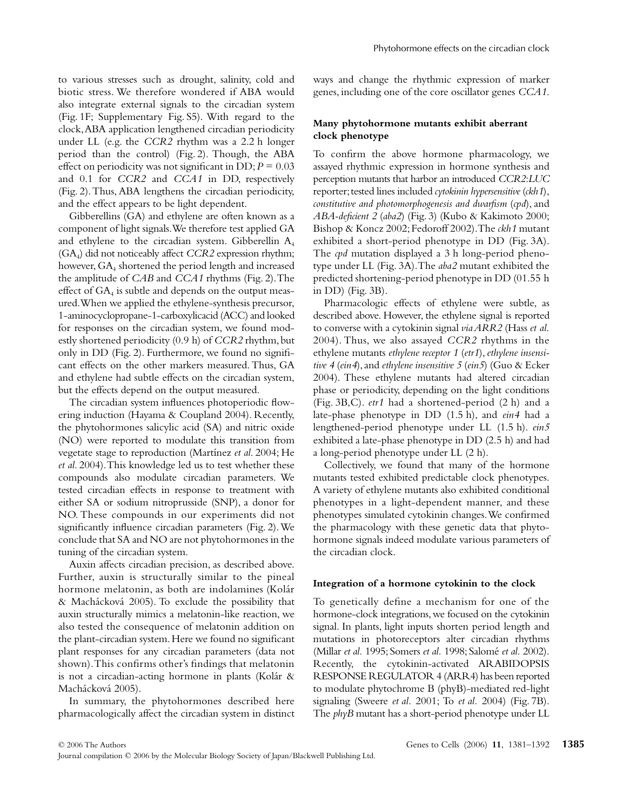to various stresses such as drought, salinity, cold and biotic stress. We therefore wondered if ABA would also integrate external signals to the circadian system (Fig. 1F; Supplementary Fig. S5). With regard to the clock, ABA application lengthened circadian periodicity under LL (e.g. the *CCR2* rhythm was a 2.2 h longer period than the control) (Fig. 2). Though, the ABA effect on periodicity was not significant in DD;  $P = 0.03$ and 0.1 for *CCR2* and *CCA1* in DD, respectively (Fig. 2). Thus, ABA lengthens the circadian periodicity, and the effect appears to be light dependent.

Gibberellins (GA) and ethylene are often known as a component of light signals. We therefore test applied GA and ethylene to the circadian system. Gibberellin A4 (GA4) did not noticeably affect *CCR2* expression rhythm; however, GA<sub>4</sub> shortened the period length and increased the amplitude of *CAB* and *CCA1* rhythms (Fig. 2). The effect of  $GA_4$  is subtle and depends on the output measured. When we applied the ethylene-synthesis precursor, 1-aminocyclopropane-1-carboxylicacid (ACC) and looked for responses on the circadian system, we found modestly shortened periodicity (0.9 h) of *CCR2* rhythm, but only in DD (Fig. 2). Furthermore, we found no significant effects on the other markers measured. Thus, GA and ethylene had subtle effects on the circadian system, but the effects depend on the output measured.

The circadian system influences photoperiodic flowering induction (Hayama & Coupland 2004). Recently, the phytohormones salicylic acid (SA) and nitric oxide (NO) were reported to modulate this transition from vegetate stage to reproduction (Martínez *et al*. 2004; He *et al*. 2004). This knowledge led us to test whether these compounds also modulate circadian parameters. We tested circadian effects in response to treatment with either SA or sodium nitroprusside (SNP), a donor for NO. These compounds in our experiments did not significantly influence circadian parameters (Fig. 2). We conclude that SA and NO are not phytohormones in the tuning of the circadian system.

Auxin affects circadian precision, as described above. Further, auxin is structurally similar to the pineal hormone melatonin, as both are indolamines (Kolár & Machácková 2005). To exclude the possibility that auxin structurally mimics a melatonin-like reaction, we also tested the consequence of melatonin addition on the plant-circadian system. Here we found no significant plant responses for any circadian parameters (data not shown). This confirms other's findings that melatonin is not a circadian-acting hormone in plants (Kolár & Machácková 2005).

In summary, the phytohormones described here pharmacologically affect the circadian system in distinct ways and change the rhythmic expression of marker genes, including one of the core oscillator genes *CCA1*.

## **Many phytohormone mutants exhibit aberrant clock phenotype**

To confirm the above hormone pharmacology, we assayed rhythmic expression in hormone synthesis and perception mutants that harbor an introduced *CCR2*:*LUC* reporter; tested lines included *cytokinin hypersensitive* (*ckh1*), *constitutive and photomorphogenesis and dwarfism* (*cpd*), and *ABA-deficient 2* (*aba2*) (Fig. 3) (Kubo & Kakimoto 2000; Bishop & Koncz 2002; Fedoroff 2002). The *ckh1* mutant exhibited a short-period phenotype in DD (Fig. 3A). The *cpd* mutation displayed a 3 h long-period phenotype under LL (Fig. 3A). The *aba2* mutant exhibited the predicted shortening-period phenotype in DD (01.55 h in DD) (Fig. 3B).

Pharmacologic effects of ethylene were subtle, as described above. However, the ethylene signal is reported to converse with a cytokinin signal *via ARR2* (Hass *et al*. 2004). Thus, we also assayed *CCR2* rhythms in the ethylene mutants *ethylene receptor 1* (*etr1*), *ethylene insensitive 4* (*ein4*), and *ethylene insensitive 5* (*ein5*) (Guo & Ecker 2004). These ethylene mutants had altered circadian phase or periodicity, depending on the light conditions (Fig. 3B,C). *etr1* had a shortened-period (2 h) and a late-phase phenotype in DD (1.5 h), and *ein4* had a lengthened-period phenotype under LL (1.5 h). *ein5* exhibited a late-phase phenotype in DD (2.5 h) and had a long-period phenotype under LL (2 h).

Collectively, we found that many of the hormone mutants tested exhibited predictable clock phenotypes. A variety of ethylene mutants also exhibited conditional phenotypes in a light-dependent manner, and these phenotypes simulated cytokinin changes. We confirmed the pharmacology with these genetic data that phytohormone signals indeed modulate various parameters of the circadian clock.

#### **Integration of a hormone cytokinin to the clock**

To genetically define a mechanism for one of the hormone-clock integrations, we focused on the cytokinin signal. In plants, light inputs shorten period length and mutations in photoreceptors alter circadian rhythms (Millar *et al.* 1995; Somers *et al.* 1998; Salomé *et al.* 2002). Recently, the cytokinin-activated ARABIDOPSIS RESPONSE REGULATOR 4 (ARR4) has been reported to modulate phytochrome B (phyB)-mediated red-light signaling (Sweere *et al.* 2001; To *et al.* 2004) (Fig. 7B). The *phyB* mutant has a short-period phenotype under LL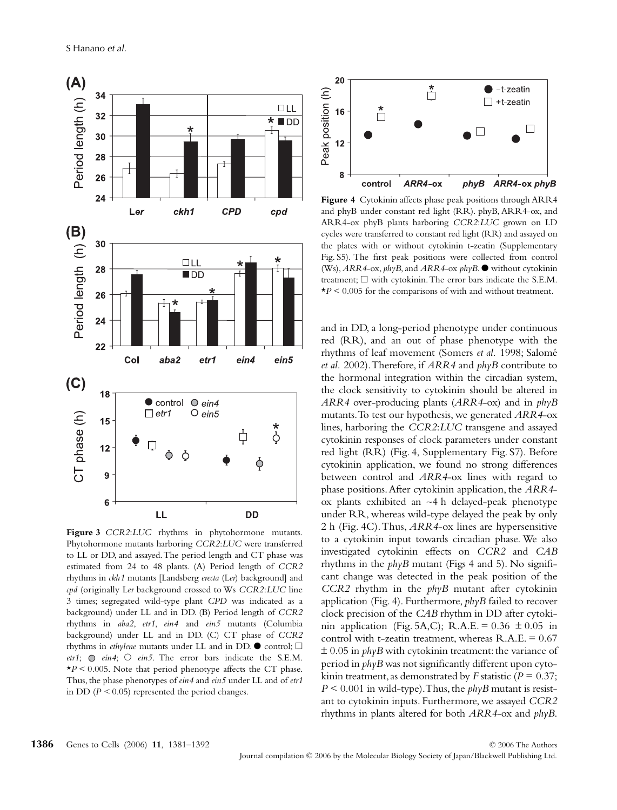

**Figure 3** *CCR2*:*LUC* rhythms in phytohormone mutants. Phytohormone mutants harboring *CCR2*:*LUC* were transferred to LL or DD, and assayed. The period length and CT phase was estimated from 24 to 48 plants. (A) Period length of *CCR2* rhythms in *ckh1* mutants [Landsberg *erecta* (L*er*) background] and *cpd* (originally L*er* background crossed to Ws *CCR2*:*LUC* line 3 times; segregated wild-type plant *CPD* was indicated as a background) under LL and in DD. (B) Period length of *CCR2* rhythms in *aba2*, *etr1*, *ein4* and *ein5* mutants (Columbia background) under LL and in DD. (C) CT phase of *CCR2* rhythms in *ethylene* mutants under LL and in DD.  $\bullet$  control;  $\Box$  $etr1$ ;  $\odot$   $ein4$ ;  $\odot$   $ein5$ . The error bars indicate the S.E.M.  $\star$ *P* < 0.005. Note that period phenotype affects the CT phase. Thus, the phase phenotypes of *ein4* and *ein5* under LL and of *etr1* in DD (*P <* 0.05) represented the period changes.



**Figure 4** Cytokinin affects phase peak positions through ARR4 and phyB under constant red light (RR). phyB, ARR4-ox, and ARR4-ox phyB plants harboring *CCR2*:*LUC* grown on LD cycles were transferred to constant red light (RR) and assayed on the plates with or without cytokinin t-zeatin (Supplementary Fig. S5). The first peak positions were collected from control (Ws), *ARR4*-ox, *phyB*, and *ARR4*-ox *phyB*. ● without cytokinin treatment;  $\square$  with cytokinin. The error bars indicate the S.E.M. \**P* < 0.005 for the comparisons of with and without treatment.

and in DD, a long-period phenotype under continuous red (RR), and an out of phase phenotype with the rhythms of leaf movement (Somers *et al.* 1998; Salomé *et al.* 2002). Therefore, if *ARR4* and *phyB* contribute to the hormonal integration within the circadian system, the clock sensitivity to cytokinin should be altered in *ARR4* over-producing plants (*ARR4*-ox) and in *phyB* mutants. To test our hypothesis, we generated *ARR4*-ox lines, harboring the *CCR2*:*LUC* transgene and assayed cytokinin responses of clock parameters under constant red light (RR) (Fig. 4, Supplementary Fig. S7). Before cytokinin application, we found no strong differences between control and *ARR4*-ox lines with regard to phase positions. After cytokinin application, the *ARR4* ox plants exhibited an ∼4 h delayed-peak phenotype under RR, whereas wild-type delayed the peak by only 2 h (Fig. 4C). Thus, *ARR4*-ox lines are hypersensitive to a cytokinin input towards circadian phase. We also investigated cytokinin effects on *CCR2* and *CAB* rhythms in the *phyB* mutant (Figs 4 and 5). No significant change was detected in the peak position of the *CCR2* rhythm in the *phyB* mutant after cytokinin application (Fig. 4). Furthermore, *phyB* failed to recover clock precision of the *CAB* rhythm in DD after cytokinin application (Fig. 5A,C); R.A.E. =  $0.36 \pm 0.05$  in control with t-zeatin treatment, whereas  $R.A.E. = 0.67$ ± 0.05 in *phyB* with cytokinin treatment: the variance of period in *phyB* was not significantly different upon cytokinin treatment, as demonstrated by *F* statistic ( $P = 0.37$ ;  $P \leq 0.001$  in wild-type). Thus, the *phyB* mutant is resistant to cytokinin inputs. Furthermore, we assayed *CCR2* rhythms in plants altered for both *ARR4*-ox and *phyB*.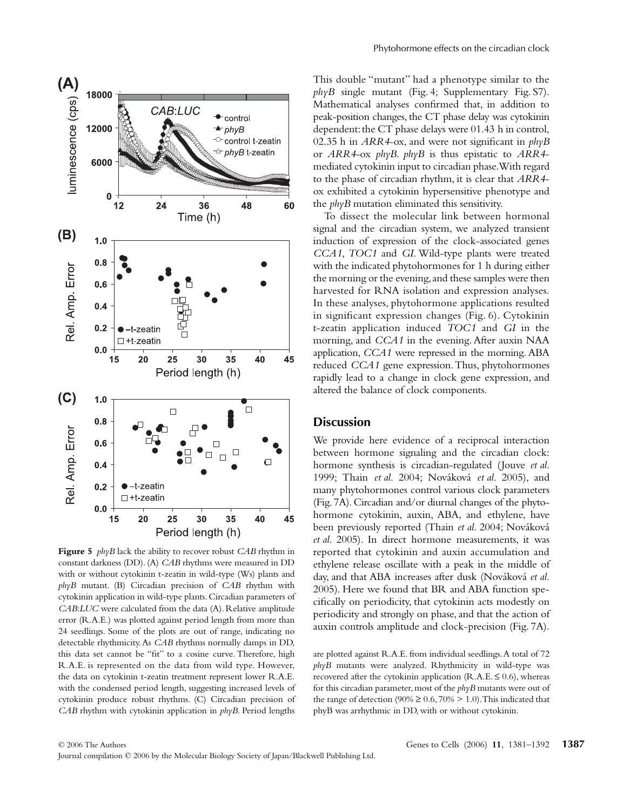

**Figure 5** *phyB* lack the ability to recover robust *CAB* rhythm in constant darkness (DD). (A) *CAB* rhythms were measured in DD with or without cytokinin t-zeatin in wild-type (Ws) plants and *phyB* mutant. (B) Circadian precision of *CAB* rhythm with cytokinin application in wild-type plants. Circadian parameters of *CAB*:*LUC* were calculated from the data (A). Relative amplitude error (R.A.E.) was plotted against period length from more than 24 seedlings. Some of the plots are out of range, indicating no detectable rhythmicity. As *CAB* rhythms normally damps in DD, this data set cannot be "fit" to a cosine curve. Therefore, high R.A.E. is represented on the data from wild type. However, the data on cytokinin t-zeatin treatment represent lower R.A.E. with the condensed period length, suggesting increased levels of cytokinin produce robust rhythms. (C) Circadian precision of *CAB* rhythm with cytokinin application in *phyB*. Period lengths

This double "mutant" had a phenotype similar to the *phyB* single mutant (Fig. 4; Supplementary Fig. S7). Mathematical analyses confirmed that, in addition to peak-position changes, the CT phase delay was cytokinin dependent: the CT phase delays were 01.43 h in control, 02.35 h in *ARR4*-ox, and were not significant in *phyB* or *ARR4*-ox *phyB*. *phyB* is thus epistatic to *ARR4* mediated cytokinin input to circadian phase. With regard to the phase of circadian rhythm, it is clear that *ARR4* ox exhibited a cytokinin hypersensitive phenotype and the *phyB* mutation eliminated this sensitivity.

To dissect the molecular link between hormonal signal and the circadian system, we analyzed transient induction of expression of the clock-associated genes *CCA1*, *TOC1* and *GI*. Wild-type plants were treated with the indicated phytohormones for 1 h during either the morning or the evening, and these samples were then harvested for RNA isolation and expression analyses. In these analyses, phytohormone applications resulted in significant expression changes (Fig. 6). Cytokinin t-zeatin application induced *TOC1* and *GI* in the morning, and *CCA1* in the evening. After auxin NAA application, *CCA1* were repressed in the morning. ABA reduced *CCA1* gene expression. Thus, phytohormones rapidly lead to a change in clock gene expression, and altered the balance of clock components.

### **Discussion**

We provide here evidence of a reciprocal interaction between hormone signaling and the circadian clock: hormone synthesis is circadian-regulated (Jouve *et al*. 1999; Thain *et al*. 2004; Nováková *et al*. 2005), and many phytohormones control various clock parameters (Fig. 7A). Circadian and/or diurnal changes of the phytohormone cytokinin, auxin, ABA, and ethylene, have been previously reported (Thain *et al*. 2004; Nováková *et al*. 2005). In direct hormone measurements, it was reported that cytokinin and auxin accumulation and ethylene release oscillate with a peak in the middle of day, and that ABA increases after dusk (Nováková *et al*. 2005). Here we found that BR and ABA function specifically on periodicity, that cytokinin acts modestly on periodicity and strongly on phase, and that the action of auxin controls amplitude and clock-precision (Fig. 7A).

are plotted against R.A.E. from individual seedlings. A total of 72 *phyB* mutants were analyzed. Rhythmicity in wild-type was recovered after the cytokinin application  $(R.A.E. \le 0.6)$ , whereas for this circadian parameter, most of the *phyB* mutants were out of the range of detection (90%  $\geq$  0.6, 70%  $>$  1.0). This indicated that phyB was arrhythmic in DD, with or without cytokinin.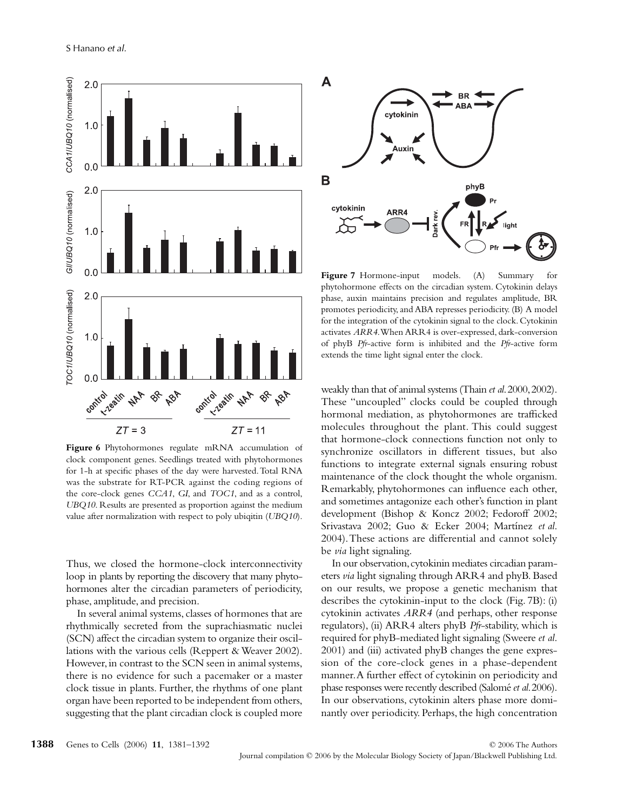

**Figure 6** Phytohormones regulate mRNA accumulation of clock component genes. Seedlings treated with phytohormones for 1-h at specific phases of the day were harvested. Total RNA was the substrate for RT-PCR against the coding regions of the core-clock genes *CCA1*, *GI*, and *TOC1*, and as a control, *UBQ10*. Results are presented as proportion against the medium value after normalization with respect to poly ubiqitin (*UBQ10*).

Thus, we closed the hormone-clock interconnectivity loop in plants by reporting the discovery that many phytohormones alter the circadian parameters of periodicity, phase, amplitude, and precision.

In several animal systems, classes of hormones that are rhythmically secreted from the suprachiasmatic nuclei (SCN) affect the circadian system to organize their oscillations with the various cells (Reppert & Weaver 2002). However, in contrast to the SCN seen in animal systems, there is no evidence for such a pacemaker or a master clock tissue in plants. Further, the rhythms of one plant organ have been reported to be independent from others, suggesting that the plant circadian clock is coupled more



**Figure 7** Hormone-input models. (A) Summary for phytohormone effects on the circadian system. Cytokinin delays phase, auxin maintains precision and regulates amplitude, BR promotes periodicity, and ABA represses periodicity. (B) A model for the integration of the cytokinin signal to the clock. Cytokinin activates *ARR4*. When ARR4 is over-expressed, dark-conversion of phyB *Pfr*-active form is inhibited and the *Pfr*-active form extends the time light signal enter the clock.

weakly than that of animal systems (Thain *et al*. 2000, 2002). These "uncoupled" clocks could be coupled through hormonal mediation, as phytohormones are trafficked molecules throughout the plant. This could suggest that hormone-clock connections function not only to synchronize oscillators in different tissues, but also functions to integrate external signals ensuring robust maintenance of the clock thought the whole organism. Remarkably, phytohormones can influence each other, and sometimes antagonize each other's function in plant development (Bishop & Koncz 2002; Fedoroff 2002; Srivastava 2002; Guo & Ecker 2004; Martínez *et al*. 2004). These actions are differential and cannot solely be *via* light signaling.

In our observation, cytokinin mediates circadian parameters *via* light signaling through ARR4 and phyB. Based on our results, we propose a genetic mechanism that describes the cytokinin-input to the clock (Fig. 7B): (i) cytokinin activates *ARR4* (and perhaps, other response regulators), (ii) ARR4 alters phyB *Pfr*-stability, which is required for phyB-mediated light signaling (Sweere *et al*. 2001) and (iii) activated phyB changes the gene expression of the core-clock genes in a phase-dependent manner. A further effect of cytokinin on periodicity and phase responses were recently described (Salomé *et al*. 2006). In our observations, cytokinin alters phase more dominantly over periodicity. Perhaps, the high concentration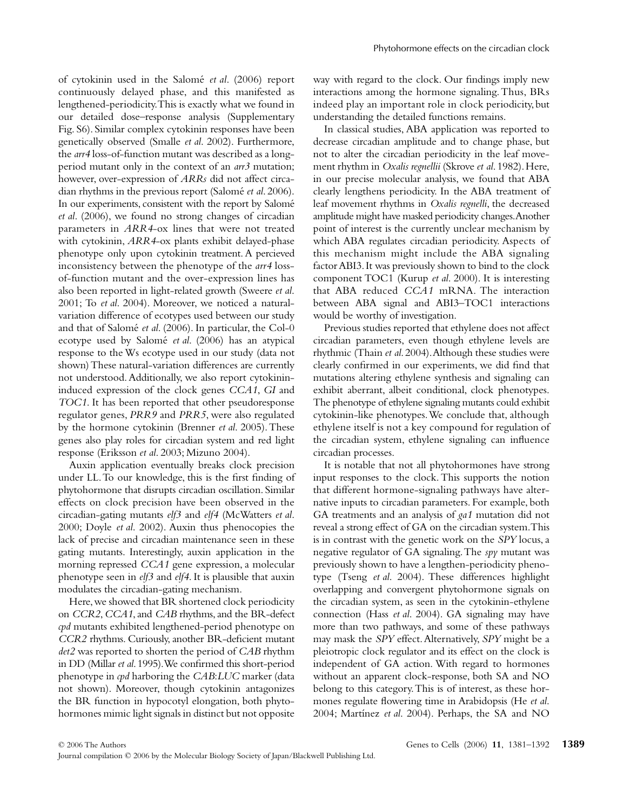of cytokinin used in the Salomé *et al*. (2006) report continuously delayed phase, and this manifested as lengthened-periodicity. This is exactly what we found in our detailed dose–response analysis (Supplementary Fig. S6). Similar complex cytokinin responses have been genetically observed (Smalle *et al*. 2002). Furthermore, the *arr4* loss-of-function mutant was described as a longperiod mutant only in the context of an *arr3* mutation; however, over-expression of *ARRs* did not affect circadian rhythms in the previous report (Salomé *et al*. 2006). In our experiments, consistent with the report by Salomé *et al*. (2006), we found no strong changes of circadian parameters in *ARR4*-ox lines that were not treated with cytokinin, *ARR4*-ox plants exhibit delayed-phase phenotype only upon cytokinin treatment. A percieved inconsistency between the phenotype of the *arr4* lossof-function mutant and the over-expression lines has also been reported in light-related growth (Sweere *et al*. 2001; To *et al*. 2004). Moreover, we noticed a naturalvariation difference of ecotypes used between our study and that of Salomé *et al*. (2006). In particular, the Col-0 ecotype used by Salomé *et al*. (2006) has an atypical response to the Ws ecotype used in our study (data not shown) These natural-variation differences are currently not understood. Additionally, we also report cytokinininduced expression of the clock genes *CCA1*, *GI* and *TOC1*. It has been reported that other pseudoresponse regulator genes, *PRR9* and *PRR5*, were also regulated by the hormone cytokinin (Brenner *et al*. 2005). These genes also play roles for circadian system and red light response (Eriksson *et al*. 2003; Mizuno 2004).

Auxin application eventually breaks clock precision under LL. To our knowledge, this is the first finding of phytohormone that disrupts circadian oscillation. Similar effects on clock precision have been observed in the circadian-gating mutants *elf3* and *elf4* (McWatters *et al*. 2000; Doyle *et al*. 2002). Auxin thus phenocopies the lack of precise and circadian maintenance seen in these gating mutants. Interestingly, auxin application in the morning repressed *CCA1* gene expression, a molecular phenotype seen in *elf3* and *elf4*. It is plausible that auxin modulates the circadian-gating mechanism.

Here, we showed that BR shortened clock periodicity on *CCR2*, *CCA1*, and *CAB* rhythms, and the BR-defect *cpd* mutants exhibited lengthened-period phenotype on *CCR2* rhythms. Curiously, another BR-deficient mutant *det2* was reported to shorten the period of *CAB* rhythm in DD (Millar *et al*. 1995). We confirmed this short-period phenotype in *cpd* harboring the *CAB*:*LUC* marker (data not shown). Moreover, though cytokinin antagonizes the BR function in hypocotyl elongation, both phytohormones mimic light signals in distinct but not opposite way with regard to the clock. Our findings imply new interactions among the hormone signaling. Thus, BRs indeed play an important role in clock periodicity, but understanding the detailed functions remains.

In classical studies, ABA application was reported to decrease circadian amplitude and to change phase, but not to alter the circadian periodicity in the leaf movement rhythm in *Oxalis regnellii* (Skrove *et al*. 1982). Here, in our precise molecular analysis, we found that ABA clearly lengthens periodicity. In the ABA treatment of leaf movement rhythms in *Oxalis regnelli*, the decreased amplitude might have masked periodicity changes. Another point of interest is the currently unclear mechanism by which ABA regulates circadian periodicity. Aspects of this mechanism might include the ABA signaling factor ABI3. It was previously shown to bind to the clock component TOC1 (Kurup *et al*. 2000). It is interesting that ABA reduced *CCA1* mRNA. The interaction between ABA signal and ABI3–TOC1 interactions would be worthy of investigation.

Previous studies reported that ethylene does not affect circadian parameters, even though ethylene levels are rhythmic (Thain *et al*. 2004). Although these studies were clearly confirmed in our experiments, we did find that mutations altering ethylene synthesis and signaling can exhibit aberrant, albeit conditional, clock phenotypes. The phenotype of ethylene signaling mutants could exhibit cytokinin-like phenotypes. We conclude that, although ethylene itself is not a key compound for regulation of the circadian system, ethylene signaling can influence circadian processes.

It is notable that not all phytohormones have strong input responses to the clock. This supports the notion that different hormone-signaling pathways have alternative inputs to circadian parameters. For example, both GA treatments and an analysis of *ga1* mutation did not reveal a strong effect of GA on the circadian system. This is in contrast with the genetic work on the *SPY* locus, a negative regulator of GA signaling. The *spy* mutant was previously shown to have a lengthen-periodicity phenotype (Tseng *et al*. 2004). These differences highlight overlapping and convergent phytohormone signals on the circadian system, as seen in the cytokinin-ethylene connection (Hass *et al*. 2004). GA signaling may have more than two pathways, and some of these pathways may mask the *SPY* effect. Alternatively, *SPY* might be a pleiotropic clock regulator and its effect on the clock is independent of GA action. With regard to hormones without an apparent clock-response, both SA and NO belong to this category. This is of interest, as these hormones regulate flowering time in Arabidopsis (He *et al*. 2004; Martínez *et al*. 2004). Perhaps, the SA and NO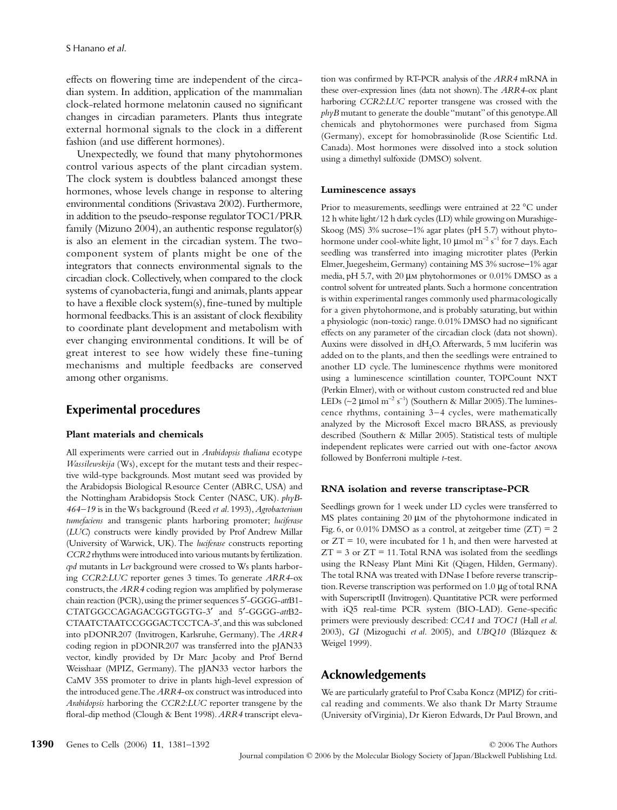effects on flowering time are independent of the circadian system. In addition, application of the mammalian clock-related hormone melatonin caused no significant changes in circadian parameters. Plants thus integrate external hormonal signals to the clock in a different fashion (and use different hormones).

Unexpectedly, we found that many phytohormones control various aspects of the plant circadian system. The clock system is doubtless balanced amongst these hormones, whose levels change in response to altering environmental conditions (Srivastava 2002). Furthermore, in addition to the pseudo-response regulator TOC1/PRR family (Mizuno 2004), an authentic response regulator(s) is also an element in the circadian system. The twocomponent system of plants might be one of the integrators that connects environmental signals to the circadian clock. Collectively, when compared to the clock systems of cyanobacteria, fungi and animals, plants appear to have a flexible clock system(s), fine-tuned by multiple hormonal feedbacks. This is an assistant of clock flexibility to coordinate plant development and metabolism with ever changing environmental conditions. It will be of great interest to see how widely these fine-tuning mechanisms and multiple feedbacks are conserved among other organisms.

## **Experimental procedures**

#### **Plant materials and chemicals**

All experiments were carried out in *Arabidopsis thaliana* ecotype *Wassilewskija* (Ws), except for the mutant tests and their respective wild-type backgrounds. Most mutant seed was provided by the Arabidopsis Biological Resource Center (ABRC, USA) and the Nottingham Arabidopsis Stock Center (NASC, UK). *phyB-464–19* is in the Ws background (Reed *et al*. 1993), *Agrobacterium tumefaciens* and transgenic plants harboring promoter; *luciferase* (*LUC*) constructs were kindly provided by Prof Andrew Millar (University of Warwick, UK). The *luciferase* constructs reporting *CCR2* rhythms were introduced into various mutants by fertilization. *cpd* mutants in L*er* background were crossed to Ws plants harboring *CCR2*:*LUC* reporter genes 3 times. To generate *ARR4*-ox constructs, the *ARR4* coding region was amplified by polymerase chain reaction (PCR), using the primer sequences 5′-GGGG-*att*B1- CTATGGCCAGAGACGGTGGTG-3′ and 5′-GGGG-*att*B2- CTAATCTAATCCGGGACTCCTCA-3′, and this was subcloned into pDONR207 (Invitrogen, Karlsruhe, Germany). The *ARR4* coding region in pDONR207 was transferred into the pJAN33 vector, kindly provided by Dr Marc Jacoby and Prof Bernd Weisshaar (MPIZ, Germany). The pJAN33 vector harbors the CaMV 35S promoter to drive in plants high-level expression of the introduced gene. The *ARR4*-ox construct was introduced into *Arabidopsis* harboring the *CCR2*:*LUC* reporter transgene by the floral-dip method (Clough & Bent 1998). *ARR4* transcript elevation was confirmed by RT-PCR analysis of the *ARR4* mRNA in these over-expression lines (data not shown). The *ARR4*-ox plant harboring *CCR2*:*LUC* reporter transgene was crossed with the *phyB* mutant to generate the double "mutant" of this genotype. All chemicals and phytohormones were purchased from Sigma (Germany), except for homobrassinolide (Rose Scientific Ltd. Canada). Most hormones were dissolved into a stock solution using a dimethyl sulfoxide (DMSO) solvent.

#### **Luminescence assays**

Prior to measurements, seedlings were entrained at 22 °C under 12 h white light/12 h dark cycles (LD) while growing on Murashige-Skoog (MS) 3% sucrose−1% agar plates (pH 5.7) without phytohormone under cool-white light, 10 µmol m<sup>−</sup><sup>2</sup> s<sup>−</sup><sup>1</sup> for 7 days. Each seedling was transferred into imaging microtiter plates (Perkin Elmer, Juegesheim, Germany) containing MS 3% sucrose−1% agar media, pH 5.7, with 20 µm phytohormones or 0.01% DMSO as a control solvent for untreated plants. Such a hormone concentration is within experimental ranges commonly used pharmacologically for a given phytohormone, and is probably saturating, but within a physiologic (non-toxic) range. 0.01% DMSO had no significant effects on any parameter of the circadian clock (data not shown). Auxins were dissolved in dH2O. Afterwards, 5 mm luciferin was added on to the plants, and then the seedlings were entrained to another LD cycle. The luminescence rhythms were monitored using a luminescence scintillation counter, TOPCount NXT (Perkin Elmer), with or without custom constructed red and blue LEDs (∼2 µmol m<sup>−</sup><sup>2</sup> s<sup>−</sup><sup>1</sup> ) (Southern & Millar 2005). The luminescence rhythms, containing 3–4 cycles, were mathematically analyzed by the Microsoft Excel macro BRASS, as previously described (Southern & Millar 2005). Statistical tests of multiple independent replicates were carried out with one-factor anova followed by Bonferroni multiple *t*-test.

### **RNA isolation and reverse transcriptase-PCR**

Seedlings grown for 1 week under LD cycles were transferred to MS plates containing 20  $\mu$ m of the phytohormone indicated in Fig. 6, or  $0.01\%$  DMSO as a control, at zeitgeber time  $(ZT) = 2$ or ZT = 10, were incubated for 1 h, and then were harvested at  $ZT = 3$  or  $ZT = 11$ . Total RNA was isolated from the seedlings using the RNeasy Plant Mini Kit (Qiagen, Hilden, Germany). The total RNA was treated with DNase I before reverse transcription. Reverse transcription was performed on 1.0 µg of total RNA with SuperscriptII (Invitrogen). Quantitative PCR were performed with iQ5 real-time PCR system (BIO-LAD). Gene-specific primers were previously described: *CCA1* and *TOC1* (Hall *et al*. 2003), *GI* (Mizoguchi *et al*. 2005), and *UBQ10* (Blázquez & Weigel 1999).

## **Acknowledgements**

We are particularly grateful to Prof Csaba Koncz (MPIZ) for critical reading and comments. We also thank Dr Marty Straume (University of Virginia), Dr Kieron Edwards, Dr Paul Brown, and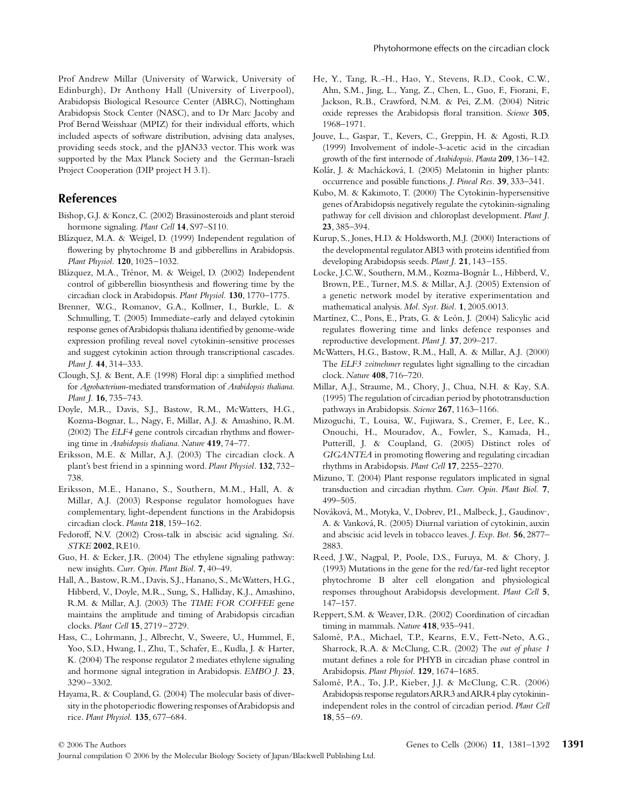## **References**

Project Cooperation (DIP project H 3.1).

- Bishop, G.J. & Koncz, C. (2002) Brassinosteroids and plant steroid hormone signaling. *Plant Cell* **14**, S97–S110.
- Blázquez, M.A. & Weigel, D. (1999) Independent regulation of flowering by phytochrome B and gibberellins in Arabidopsis. *Plant Physiol.* **120**, 1025–1032.
- Blázquez, M.A., Trénor, M. & Weigel, D. (2002) Independent control of gibberellin biosynthesis and flowering time by the circadian clock in Arabidopsis. *Plant Physiol.* **130**, 1770–1775.
- Brenner, W.G., Romanov, G.A., Kollmer, I., Burkle, L. & Schmulling, T. (2005) Immediate-early and delayed cytokinin response genes of Arabidopsis thaliana identified by genome-wide expression profiling reveal novel cytokinin-sensitive processes and suggest cytokinin action through transcriptional cascades. *Plant J.* **44**, 314–333.
- Clough, S.J. & Bent, A.F. (1998) Floral dip: a simplified method for *Agrobacterium*-mediated transformation of *Arabidopsis thaliana*. *Plant J.* **16**, 735–743.
- Doyle, M.R., Davis, S.J., Bastow, R.M., McWatters, H.G., Kozma-Bognar, L., Nagy, F., Millar, A.J. & Amashino, R.M. (2002) The *ELF4* gene controls circadian rhythms and flowering time in *Arabidopsis thaliana*. *Nature* **419**, 74–77.
- Eriksson, M.E. & Millar, A.J. (2003) The circadian clock. A plant's best friend in a spinning word. *Plant Physiol.* **132**, 732– 738.
- Eriksson, M.E., Hanano, S., Southern, M.M., Hall, A. & Millar, A.J. (2003) Response regulator homologues have complementary, light-dependent functions in the Arabidopsis circadian clock. *Planta* **218**, 159–162.
- Fedoroff, N.V. (2002) Cross-talk in abscisic acid signaling. *Sci. STKE* **2002**, RE10.
- Guo, H. & Ecker, J.R. (2004) The ethylene signaling pathway: new insights. *Curr. Opin. Plant Biol.* **7**, 40–49.
- Hall, A., Bastow, R.M., Davis, S.J., Hanano, S., McWatters, H.G., Hibberd, V., Doyle, M.R., Sung, S., Halliday, K.J., Amashino, R.M. & Millar, A.J. (2003) The *TIME FOR COFFEE* gene maintains the amplitude and timing of Arabidopsis circadian clocks. *Plant Cell* **15**, 2719–2729.
- Hass, C., Lohrmann, J., Albrecht, V., Sweere, U., Hummel, F., Yoo, S.D., Hwang, I., Zhu, T., Schafer, E., Kudla, J. & Harter, K. (2004) The response regulator 2 mediates ethylene signaling and hormone signal integration in Arabidopsis. *EMBO J.* **23**, 3290–3302.
- Hayama, R. & Coupland, G. (2004) The molecular basis of diversity in the photoperiodic flowering responses of Arabidopsis and rice. *Plant Physiol.* **135**, 677–684.
- He, Y., Tang, R.-H., Hao, Y., Stevens, R.D., Cook, C.W., Ahn, S.M., Jing, L., Yang, Z., Chen, L., Guo, F., Fiorani, F., Jackson, R.B., Crawford, N.M. & Pei, Z.M. (2004) Nitric oxide represses the Arabidopsis floral transition. *Science* **305**, 1968–1971.
- Jouve, L., Gaspar, T., Kevers, C., Greppin, H. & Agosti, R.D. (1999) Involvement of indole-3-acetic acid in the circadian growth of the first internode of *Arabidopsis*. *Planta* **209**, 136–142.
- Kolár, J. & Machácková, I. (2005) Melatonin in higher plants: occurrence and possible functions. *J. Pineal Res.* **39**, 333–341.
- Kubo, M. & Kakimoto, T. (2000) The Cytokinin-hypersensitive genes of Arabidopsis negatively regulate the cytokinin-signaling pathway for cell division and chloroplast development. *Plant J.* **23**, 385–394.
- Kurup, S., Jones, H.D. & Holdsworth, M.J. (2000) Interactions of the developmental regulator ABI3 with proteins identified from developing Arabidopsis seeds. *Plant J.* **21**, 143–155.
- Locke, J.C.W., Southern, M.M., Kozma-Bognár L., Hibberd, V., Brown, P.E., Turner, M.S. & Millar, A.J. (2005) Extension of a genetic network model by iterative experimentation and mathematical analysis. *Mol. Syst. Biol.* **1**, 2005.0013.
- Martínez, C., Pons, E., Prats, G. & León, J. (2004) Salicylic acid regulates flowering time and links defence responses and reproductive development. *Plant J.* **37**, 209–217.
- McWatters, H.G., Bastow, R.M., Hall, A. & Millar, A.J. (2000) The *ELF3 zeitnehmer* regulates light signalling to the circadian clock. *Nature* **408**, 716–720.
- Millar, A.J., Straume, M., Chory, J., Chua, N.H. & Kay, S.A. (1995) The regulation of circadian period by phototransduction pathways in Arabidopsis. *Science* **267**, 1163–1166.
- Mizoguchi, T., Louisa, W., Fujiwara, S., Cremer, F., Lee, K., Onouchi, H., Mouradov, A., Fowler, S., Kamada, H., Putterill, J. & Coupland, G. (2005) Distinct roles of *GIGANTEA* in promoting flowering and regulating circadian rhythms in Arabidopsis. *Plant Cell* **17**, 2255–2270.
- Mizuno, T. (2004) Plant response regulators implicated in signal transduction and circadian rhythm. *Curr. Opin. Plant Biol.* **7**, 499–505.
- Nováková, M., Motyka, V., Dobrev, P.I., Malbeck, J., Gaudinov·, A. & Vanková, R. (2005) Diurnal variation of cytokinin, auxin and abscisic acid levels in tobacco leaves. *J. Exp. Bot.* **56**, 2877– 2883.
- Reed, J.W., Nagpal, P., Poole, D.S., Furuya, M. & Chory, J. (1993) Mutations in the gene for the red/far-red light receptor phytochrome B alter cell elongation and physiological responses throughout Arabidopsis development. *Plant Cell* **5**, 147–157.
- Reppert, S.M. & Weaver, D.R. (2002) Coordination of circadian timing in mammals. *Nature* **418**, 935–941.
- Salomé, P.A., Michael, T.P., Kearns, E.V., Fett-Neto, A.G., Sharrock, R.A. & McClung, C.R. (2002) The *out of phase 1* mutant defines a role for PHYB in circadian phase control in Arabidopsis. *Plant Physiol.* **129**, 1674–1685.
- Salomé, P.A., To, J.P., Kieber, J.J. & McClung, C.R. (2006) Arabidopsis response regulators ARR3 and ARR4 play cytokininindependent roles in the control of circadian period. *Plant Cell* **18**, 55–69.

Journal compilation © 2006 by the Molecular Biology Society of Japan/Blackwell Publishing Ltd.